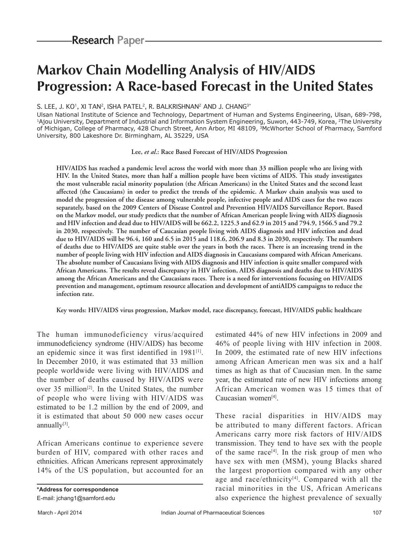# **Markov Chain Modelling Analysis of HIV/AIDS Progression: A Race‑based Forecast in the United States**

## S. LEE, J. KO<sup>1</sup>, XI TAN<sup>2</sup>, ISHA PATEL<sup>2</sup>, R. BALKRISHNAN<sup>2</sup> AND J. CHANG<sup>3\*</sup>

Ulsan National Institute of Science and Technology, Department of Human and Systems Engineering, Ulsan, 689-798,<br><sup>1</sup>Ajou University, Department of Industrial and Information System Engineering, Suwon, 443-749, Korea, <sup>2</sup>Th of Michigan, College of Pharmacy, 428 Church Street, Ann Arbor, MI 48109, <sup>3</sup>McWhorter School of Pharmacy, Samford University, 800 Lakeshore Dr. Birmingham, AL 35229, USA

## **Lee,** *et al***.: Race Based Forecast of HIV/AIDS Progression**

**HIV/AIDS has reached a pandemic level across the world with more than 33 million people who are living with HIV. In the United States, more than half a million people have been victims of AIDS. This study investigates the most vulnerable racial minority population (the African Americans) in the United States and the second least affected (the Caucasians) in order to predict the trends of the epidemic. A Markov chain analysis was used to model the progression of the disease among vulnerable people, infective people and AIDS cases for the two races separately, based on the 2009 Centers of Disease Control and Prevention HIV/AIDS Surveillance Report. Based on the Markov model, our study predicts that the number of African American people living with AIDS diagnosis and HIV infection and dead due to HIV/AIDS will be 662.2, 1225.3 and 62.9 in 2015 and 794.9, 1566.5 and 79.2 in 2030, respectively. The number of Caucasian people living with AIDS diagnosis and HIV infection and dead due to HIV/AIDS will be 96.4, 160 and 6.5 in 2015 and 118.6, 206.9 and 8.3 in 2030, respectively. The numbers of deaths due to HIV/AIDS are quite stable over the years in both the races. There is an increasing trend in the number of people living with HIV infection and AIDS diagnosis in Caucasians compared with African Americans. The absolute number of Caucasians living with AIDS diagnosis and HIV infection is quite smaller compared with African Americans. The results reveal discrepancy in HIV infection, AIDS diagnosis and deaths due to HIV/AIDS among the African Americans and the Caucasians races. There is a need for interventions focusing on HIV/AIDS prevention and management, optimum resource allocation and development of antiAIDS campaigns to reduce the infection rate.**

**Key words: HIV/AIDS virus progression, Markov model, race discrepancy, forecast, HIV/AIDS public healthcare**

The human immunodeficiency virus/acquired immunodeficiency syndrome (HIV/AIDS) has become an epidemic since it was first identified in 1981[1]. In December 2010, it was estimated that 33 million people worldwide were living with HIV/AIDS and the number of deaths caused by HIV/AIDS were over 35 million<sup>[2]</sup>. In the United States, the number of people who were living with HIV/AIDS was estimated to be 1.2 million by the end of 2009, and it is estimated that about 50 000 new cases occur annually $[3]$ .

African Americans continue to experience severe burden of HIV, compared with other races and ethnicities. African Americans represent approximately 14% of the US population, but accounted for an estimated 44% of new HIV infections in 2009 and 46% of people living with HIV infection in 2008. In 2009, the estimated rate of new HIV infections among African American men was six and a half times as high as that of Caucasian men. In the same year, the estimated rate of new HIV infections among African American women was 15 times that of Caucasian women[4].

These racial disparities in HIV/AIDS may be attributed to many different factors. African Americans carry more risk factors of HIV/AIDS transmission. They tend to have sex with the people of the same race<sup>[4]</sup>. In the risk group of men who have sex with men (MSM), young Blacks shared the largest proportion compared with any other age and race/ethnicity $[4]$ . Compared with all the racial minorities in the US, African Americans also experience the highest prevalence of sexually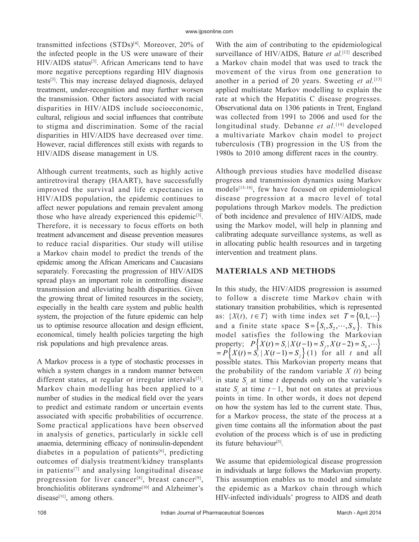transmitted infections (STDs)<sup>[4]</sup>. Moreover, 20% of the infected people in the US were unaware of their HIV/AIDS status[3]. African Americans tend to have more negative perceptions regarding HIV diagnosis tests[3]. This may increase delayed diagnosis, delayed treatment, under-recognition and may further worsen the transmission. Other factors associated with racial disparities in HIV/AIDS include socioeconomic, cultural, religious and social influences that contribute to stigma and discrimination. Some of the racial disparities in HIV/AIDS have decreased over time. However, racial differences still exists with regards to HIV/AIDS disease management in US.

Although current treatments, such as highly active antiretroviral therapy (HAART), have successfully improved the survival and life expectancies in HIV/AIDS population, the epidemic continues to affect newer populations and remain prevalent among those who have already experienced this epidemic<sup>[3]</sup>. Therefore, it is necessary to focus efforts on both treatment advancement and disease prevention measures to reduce racial disparities. Our study will utilise a Markov chain model to predict the trends of the epidemic among the African Americans and Caucasians separately. Forecasting the progression of HIV/AIDS spread plays an important role in controlling disease transmission and alleviating health disparities. Given the growing threat of limited resources in the society, especially in the health care system and public health system, the projection of the future epidemic can help us to optimise resource allocation and design efficient, economical, timely health policies targeting the high risk populations and high prevalence areas.

A Markov process is a type of stochastic processes in which a system changes in a random manner between different states, at regular or irregular intervals[5]. Markov chain modelling has been applied to a number of studies in the medical field over the years to predict and estimate random or uncertain events associated with specific probabilities of occurrence. Some practical applications have been observed in analysis of genetics, particularly in sickle cell anaemia, determining efficacy of noninsulin‑dependent diabetes in a population of patients $[6]$ , predicting outcomes of dialysis treatment/kidney transplants in patients[7] and analysing longitudinal disease progression for liver cancer<sup>[8]</sup>, breast cancer<sup>[9]</sup>, bronchiolitis obliterans syndrome<sup>[10]</sup> and Alzheimer's disease $[11]$ , among others.

With the aim of contributing to the epidemiological surveillance of HIV/AIDS, Bature *et al.*[12] described a Markov chain model that was used to track the movement of the virus from one generation to another in a period of 20 years. Sweeting *et al.*[13] applied multistate Markov modelling to explain the rate at which the Hepatitis C disease progresses. Observational data on 1306 patients in Trent, England was collected from 1991 to 2006 and used for the longitudinal study. Debanne *et al*. [14] developed a multivariate Markov chain model to project tuberculosis (TB) progression in the US from the 1980s to 2010 among different races in the country.

Although previous studies have modelled disease progress and transmission dynamics using Markov models[15-18], few have focused on epidemiological disease progression at a macro level of total populations through Markov models. The prediction of both incidence and prevalence of HIV/AIDS, made using the Markov model, will help in planning and calibrating adequate surveillance systems, as well as in allocating public health resources and in targeting intervention and treatment plans.

# **MATERIALS AND METHODS**

In this study, the HIV/AIDS progression is assumed to follow a discrete time Markov chain with stationary transition probabilities, which is represented as:  $\{X(t), t \in T\}$  with time index set  $T = \{0,1,\dots\}$ and a finite state space  $S = \{S_1, S_2, \dots, S_N\}$ . This model satisfies the following the Markovian  $\text{property:} \quad P\big\{X(t) = S_i | X(t-1) = S_j, X(t-2) = S_k, \dots \big\}$  $= P\left\{X(t) = S_i | X(t-1) = S_j \right\}$  (1) for all *t* and all possible states. This Markovian property means that the probability of the random variable *X (t*) being in state  $S_i$  at time *t* depends only on the variable's state  $S_i$  at time  $t-1$ , but not on states at previous points in time. In other words, it does not depend on how the system has led to the current state. Thus, for a Markov process, the state of the process at a given time contains all the information about the past evolution of the process which is of use in predicting its future behaviour[5].

We assume that epidemiological disease progression in individuals at large follows the Markovian property. This assumption enables us to model and simulate the epidemic as a Markov chain through which HIV-infected individuals' progress to AIDS and death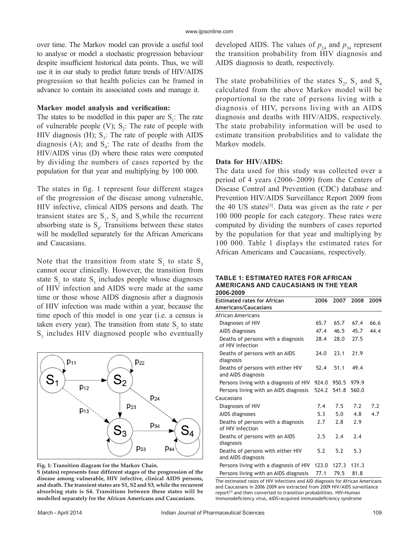over time. The Markov model can provide a useful tool to analyse or model a stochastic progression behaviour despite insufficient historical data points. Thus, we will use it in our study to predict future trends of HIV/AIDS progression so that health policies can be framed in advance to contain its associated costs and manage it.

## **Markov model analysis and verification:**

The states to be modelled in this paper are  $S_i$ : The rate of vulnerable people (V);  $S_2$ : The rate of people with HIV diagnosis (H);  $S_3$ : The rate of people with AIDS diagnosis (A); and  $S_4$ : The rate of deaths from the HIV/AIDS virus (D) where these rates were computed by dividing the numbers of cases reported by the population for that year and multiplying by 100 000.

The states in fig. 1 represent four different stages of the progression of the disease among vulnerable, HIV infective, clinical AIDS persons and death. The transient states are  $S_1$ ,  $S_2$  and  $S_3$  while the recurrent absorbing state is  $S_4$ . Transitions between these states will be modelled separately for the African Americans and Caucasians.

Note that the transition from state  $S_1$  to state  $S_3$ cannot occur clinically. However, the transition from state  $S_1$  to state  $S_3$  includes people whose diagnoses of HIV infection and AIDS were made at the same time or those whose AIDS diagnosis after a diagnosis of HIV infection was made within a year, because the time epoch of this model is one year (i.e. a census is taken every year). The transition from state  $S_2$  to state  $S_3$  includes HIV diagnosed people who eventually



**Fig. 1: Transition diagram for the Markov Chain.**

**S (states) represents four different stages of the progression of the disease among vulnerable, HIV infective, clinical AIDS persons, and death. The transient states are S1, S2 and S3, while the recurrent absorbing state is S4. Transitions between these states will be modelled separately for the African Americans and Caucasians.**

developed AIDS. The values of  $p_{24}$  and  $p_{34}$  represent the transition probability from HIV diagnosis and AIDS diagnosis to death, respectively.

The state probabilities of the states  $S_2$ ,  $S_3$  and  $S_4$ calculated from the above Markov model will be proportional to the rate of persons living with a diagnosis of HIV, persons living with an AIDS diagnosis and deaths with HIV/AIDS, respectively. The state probability information will be used to estimate transition probabilities and to validate the Markov models.

## **Data for HIV/AIDS:**

The data used for this study was collected over a period of 4 years (2006–2009) from the Centers of Disease Control and Prevention (CDC) database and Prevention HIV/AIDS Surveillance Report 2009 from the 40 US states<sup>[3]</sup>. Data was given as the rate  $r$  per 100 000 people for each category. These rates were computed by dividing the numbers of cases reported by the population for that year and multiplying by 100 000. Table 1 displays the estimated rates for African Americans and Caucasians, respectively.

#### **TABLE 1: ESTIMATED RATES FOR AFRICAN AMERICANS AND CAUCASIANS IN THE YEAR 2006‑2009**

| ZUUU-ZUUJ                                                  |       |       |       |      |
|------------------------------------------------------------|-------|-------|-------|------|
| <b>Estimated rates for African</b><br>Americans/Caucasians | 2006  | 2007  | 2008  | 2009 |
| African Americans                                          |       |       |       |      |
| Diagnoses of HIV                                           | 65.7  | 65.7  | 67.4  | 66.6 |
| AIDS diagnoses                                             | 47.4  | 46.5  | 45.7  | 44.4 |
| Deaths of persons with a diagnosis<br>of HIV infection     | 28.4  | 28.0  | 27.5  |      |
| Deaths of persons with an AIDS<br>diagnosis                | 74.0  | 23.1  | 21.9  |      |
| Deaths of persons with either HIV<br>and AIDS diagnosis    | 52.4  | 51.1  | 49.4  |      |
| Persons living with a diagnosis of HIV                     | 924.0 | 950.5 | 979.9 |      |
| Persons living with an AIDS diagnosis                      | 524.2 | 541.8 | 560.0 |      |
| Caucasians                                                 |       |       |       |      |
| Diagnoses of HIV                                           | 7.4   | 7.5   | 7.2   | 7.2  |
| AIDS diagnoses                                             | 5.3   | 5.0   | 4.8   | 4.7  |
| Deaths of persons with a diagnosis<br>of HIV infection     | 2.7   | 2.8   | 2.9   |      |
| Deaths of persons with an AIDS<br>diagnosis                | 2.5   | 7.4   | 7.4   |      |
| Deaths of persons with either HIV<br>and AIDS diagnosis    | 5.2   | 5.2   | 5.3   |      |
| Persons living with a diagnosis of HIV                     | 123.0 | 127.3 | 131.3 |      |
| Persons living with an AIDS diagnosis                      | 77.1  | 79.5  | 81.8  |      |

The estimated rates of HIV infections and AID diagnosis for African Americans and Caucasians in 2006–2009 are extracted from 2009 HIV/AIDS surveillance report[3] and then converted to transition probabilities. HIV=Human immunodeficiency virus, AIDS=acquired immunodeficiency syndrome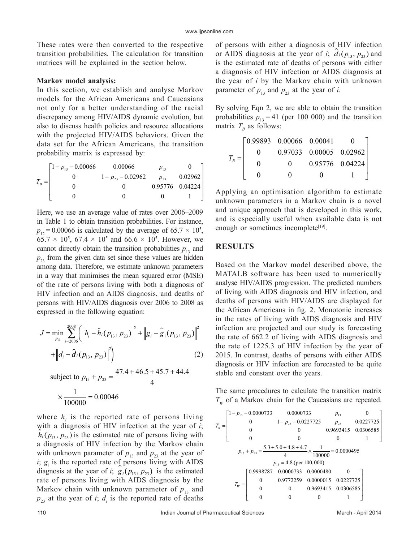These rates were then converted to the respective transition probabilities. The calculation for transition matrices will be explained in the section below.

## **Markov model analysis:**

In this section, we establish and analyse Markov models for the African Americans and Caucasians not only for a better understanding of the racial discrepancy among HIV/AIDS dynamic evolution, but also to discuss health policies and resource allocations with the projected HIV/AIDS behaviors. Given the data set for the African Americans, the transition probability matrix is expressed by:

$$
T_B = \begin{bmatrix} 1 - p_{13} - 0.00066 & 0.00066 & p_{13} & 0 \\ 0 & 1 - p_{23} - 0.02962 & p_{23} & 0.02962 \\ 0 & 0 & 0.95776 & 0.04224 \\ 0 & 0 & 0 & 1 \end{bmatrix}
$$

Here, we use an average value of rates over 2006–2009 in Table 1 to obtain transition probabilities. For instance,  $p_{12} = 0.00066$  is calculated by the average of 65.7  $\times$  10<sup>5</sup>,  $65.7 \times 10^5$ ,  $67.4 \times 10^5$  and  $66.6 \times 10^5$ . However, we cannot directly obtain the transition probabilities  $p_{13}$  and  $p_{23}$  from the given data set since these values are hidden among data. Therefore, we estimate unknown parameters in a way that minimises the mean squared error (MSE) of the rate of persons living with both a diagnosis of HIV infection and an AIDS diagnosis, and deaths of persons with HIV/AIDS diagnosis over 2006 to 2008 as expressed in the following equation:

$$
J = \min_{p_{13}} \sum_{i=2006}^{2008} \left( \left\| h_i - \hat{h}_i (p_{13}, p_{23}) \right\|^2 + \left\| g_i - \hat{g}_i (p_{13}, p_{23}) \right\|^2 \right) + \left\| d_i - \hat{d}_i (p_{13}, p_{23}) \right\|^2 \right)
$$
(2)

subject to 
$$
p_{13} + p_{23} = \frac{1111116.9 + 191111}{4}
$$
  

$$
\times \frac{1}{100000} = 0.00046
$$

where  $h_i$  is the reported rate of persons living with a diagnosis of HIV infection at the year of *i*;  $h_i(p_{13}, p_{23})$  is the estimated rate of persons living with a diagnosis of HIV infection by the Markov chain with unknown parameter of  $p_{13}$  and  $p_{23}$  at the year of *i*;  $g_i$  is the reported rate of persons living with AIDS diagnosis at the year of *i*;  $g_i(p_{13}, p_{23})$  is the estimated rate of persons living with AIDS diagnosis by the Markov chain with unknown parameter of  $p_{13}$  and  $p_{23}$  at the year of *i*;  $d_i$  is the reported rate of deaths of persons with either a diagnosis of HIV infection or AIDS diagnosis at the year of *i*;  $\hat{d}_i(p_{13}, p_{23})$  and is the estimated rate of deaths of persons with either a diagnosis of HIV infection or AIDS diagnosis at the year of *i* by the Markov chain with unknown parameter of  $p_{13}$  and  $p_{23}$  at the year of *i*.

By solving Eqn 2, we are able to obtain the transition probabilities  $p_{13} = 41$  (per 100 000) and the transition matrix  $T_B$  as follows:

$$
T_B = \begin{bmatrix} 0.99893 & 0.00066 & 0.00041 & 0 \\ 0 & 0.97033 & 0.00005 & 0.02962 \\ 0 & 0 & 0.95776 & 0.04224 \\ 0 & 0 & 0 & 1 \end{bmatrix}
$$

Applying an optimisation algorithm to estimate unknown parameters in a Markov chain is a novel and unique approach that is developed in this work, and is especially useful when available data is not enough or sometimes incomplete<sup>[19]</sup>.

## **RESULTS**

Based on the Markov model described above, the MATALB software has been used to numerically analyse HIV/AIDS progression. The predicted numbers of living with AIDS diagnosis and HIV infection, and deaths of persons with HIV/AIDS are displayed for the African Americans in fig. 2. Monotonic increases in the rates of living with AIDS diagnosis and HIV infection are projected and our study is forecasting the rate of 662.2 of living with AIDS diagnosis and the rate of 1225.3 of HIV infection by the year of 2015. In contrast, deaths of persons with either AIDS diagnosis or HIV infection are forecasted to be quite stable and constant over the years.

The same procedures to calculate the transition matrix  $T_w$  of a Markov chain for the Caucasians are repeated.

$$
T_w = \begin{bmatrix} 1 - p_{13} - 0.0000733 & 0.0000733 & p_{13} & 0 \\ 0 & 1 - p_{23} - 0.0227725 & p_{23} & 0.0227725 \\ 0 & 0 & 0.9693415 & 0.0306585 \\ 0 & 0 & 0 & 1 \end{bmatrix}
$$
  
\n
$$
p_{13} + p_{23} = \frac{5.3 + 5.0 + 4.8 + 4.7}{4} \times \frac{1}{100000} = 0.0000495
$$
  
\n
$$
p_{13} = 4.8 \text{ (per } 100,000)
$$
  
\n
$$
T_w = \begin{bmatrix} 0.9998787 & 0.0000733 & 0.0000480 & 0 \\ 0 & 0.9772259 & 0.0000015 & 0.0227725 \\ 0 & 0 & 0.9693415 & 0.0306585 \\ 0 & 0 & 0 & 1 \end{bmatrix}
$$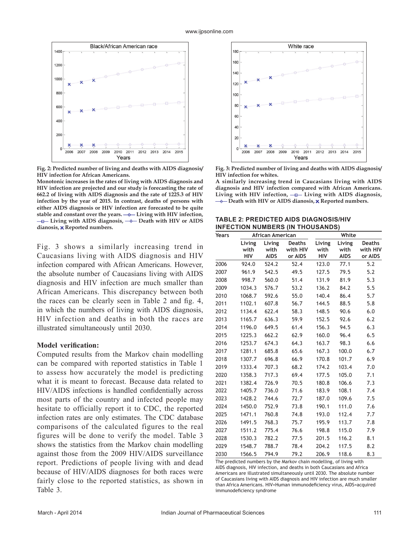

**Fig. 2: Predicted number of living and deaths with AIDS diagnosis/ HIV infection for African Americans.**

**Monotonic increases in the rates of living with AIDS diagnosis and HIV infection are projected and our study is forecasting the rate of 662.2 of living with AIDS diagnosis and the rate of 1225.3 of HIV infection by the year of 2015. In contrast, deaths of persons with either AIDS diagnosis or HIV infection are forecasted to be quite**  stable and constant over the years.  $\rightarrow$  Living with HIV infection,  **⊥E**— Living with AIDS diagnosis, → Death with HIV or AIDS dianosis, x Reported numbers.

Fig. 3 shows a similarly increasing trend in Caucasians living with AIDS diagnosis and HIV infection compared with African Americans. However, the absolute number of Caucasians living with AIDS diagnosis and HIV infection are much smaller than African Americans. This discrepancy between both the races can be clearly seen in Table 2 and fig. 4, in which the numbers of living with AIDS diagnosis, HIV infection and deaths in both the races are illustrated simultaneously until 2030.

## **Model verification:**

Computed results from the Markov chain modelling can be compared with reported statistics in Table 1 to assess how accurately the model is predicting what it is meant to forecast. Because data related to HIV/AIDS infections is handled confidentially across most parts of the country and infected people may hesitate to officially report it to CDC, the reported infection rates are only estimates. The CDC database comparisons of the calculated figures to the real figures will be done to verify the model. Table 3 shows the statistics from the Markov chain modelling against those from the 2009 HIV/AIDS surveillance report. Predictions of people living with and dead because of HIV/AIDS diagnoses for both races were fairly close to the reported statistics, as shown in Table 3.



**Fig. 3: Predicted number of living and deaths with AIDS diagnosis/ HIV infection for whites.** 

**A similarly increasing trend in Caucasians living with AIDS diagnosis and HIV infection compared with African Americans.**  Living with HIV infection, **-a** Living with AIDS diagnosis,  $\rightarrow$  Death with HIV or AIDS dianosis, **x** Reported numbers.

| <b>TABLE 2: PREDICTED AIDS DIAGNOSIS/HIV</b> |
|----------------------------------------------|
| <b>INFECTION NUMBERS (IN THOUSANDS)</b>      |

| Years |                              | African American              |                                      |                              | White                         |                                      |  |  |
|-------|------------------------------|-------------------------------|--------------------------------------|------------------------------|-------------------------------|--------------------------------------|--|--|
|       | Living<br>with<br><b>HIV</b> | Living<br>with<br><b>AIDS</b> | <b>Deaths</b><br>with HIV<br>or AIDS | Living<br>with<br><b>HIV</b> | Living<br>with<br><b>AIDS</b> | <b>Deaths</b><br>with HIV<br>or AIDS |  |  |
| 2006  | 924.0                        | 524.2                         | 52.4                                 | 123.0                        | 77.1                          | 5.2                                  |  |  |
| 2007  | 961.9                        | 542.5                         | 49.5                                 | 127.5                        | 79.5                          | 5.2                                  |  |  |
| 2008  | 998.7                        | 560.0                         | 51.4                                 | 131.9                        | 81.9                          | 5.3                                  |  |  |
| 2009  | 1034.3                       | 576.7                         | 53.2                                 | 136.2                        | 84.2                          | 5.5                                  |  |  |
| 2010  | 1068.7                       | 592.6                         | 55.0                                 | 140.4                        | 86.4                          | 5.7                                  |  |  |
| 2011  | 1102.1                       | 607.8                         | 56.7                                 | 144.5                        | 88.5                          | 5.8                                  |  |  |
| 2012  | 1134.4                       | 622.4                         | 58.3                                 | 148.5                        | 90.6                          | 6.0                                  |  |  |
| 2013  | 1165.7                       | 636.3                         | 59.9                                 | 152.5                        | 92.6                          | 6.2                                  |  |  |
| 2014  | 1196.0                       | 649.5                         | 61.4                                 | 156.3                        | 94.5                          | 6.3                                  |  |  |
| 2015  | 1225.3                       | 662.2                         | 62.9                                 | 160.0                        | 96.4                          | 6.5                                  |  |  |
| 2016  | 1253.7                       | 674.3                         | 64.3                                 | 163.7                        | 98.3                          | 6.6                                  |  |  |
| 2017  | 1281.1                       | 685.8                         | 65.6                                 | 167.3                        | 100.0                         | 6.7                                  |  |  |
| 2018  | 1307.7                       | 696.8                         | 66.9                                 | 170.8                        | 101.7                         | 6.9                                  |  |  |
| 2019  | 1333.4                       | 707.3                         | 68.2                                 | 174.2                        | 103.4                         | 7.0                                  |  |  |
| 2020  | 1358.3                       | 717.3                         | 69.4                                 | 177.5                        | 105.0                         | 7.1                                  |  |  |
| 2021  | 1382.4                       | 726.9                         | 70.5                                 | 180.8                        | 106.6                         | 7.3                                  |  |  |
| 2022  | 1405.7                       | 736.0                         | 71.6                                 | 183.9                        | 108.1                         | 7.4                                  |  |  |
| 2023  | 1428.2                       | 744.6                         | 72.7                                 | 187.0                        | 109.6                         | 7.5                                  |  |  |
| 2024  | 1450.0                       | 752.9                         | 73.8                                 | 190.1                        | 111.0                         | 7.6                                  |  |  |
| 2025  | 1471.1                       | 760.8                         | 74.8                                 | 193.0                        | 112.4                         | 7.7                                  |  |  |
| 2026  | 1491.5                       | 768.3                         | 75.7                                 | 195.9                        | 113.7                         | 7.8                                  |  |  |
| 2027  | 1511.2                       | 775.4                         | 76.6                                 | 198.8                        | 115.0                         | 7.9                                  |  |  |
| 2028  | 1530.3                       | 782.2                         | 77.5                                 | 201.5                        | 116.2                         | 8.1                                  |  |  |
| 2029  | 1548.7                       | 788.7                         | 78.4                                 | 204.2                        | 117.5                         | 8.2                                  |  |  |
| 2030  | 1566.5                       | 794.9                         | 79.2                                 | 206.9                        | 118.6                         | 8.3                                  |  |  |

The predicted numbers by the Markov chain modelling, of living with AIDS diagnosis, HIV infection, and deaths in both Caucasians and Africa Americans are illustrated simultaneously until 2030. The absolute number of Caucasians living with AIDS diagnosis and HIV infection are much smaller than Africa Americans. HIV=Human immunodeficiency virus, AIDS=acquired immunodeficiency syndrome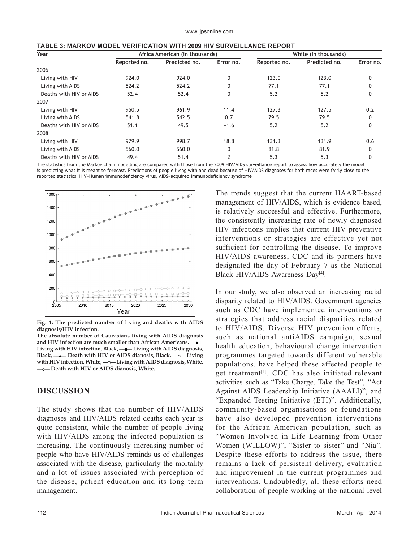|  |  | TABLE 3: MARKOV MODEL VERIFICATION WITH 2009 HIV SURVEILLANCE REPORT |  |
|--|--|----------------------------------------------------------------------|--|
|--|--|----------------------------------------------------------------------|--|

| Year                    | Africa American (in thousands) |               |              | White (in thousands) |               |              |  |
|-------------------------|--------------------------------|---------------|--------------|----------------------|---------------|--------------|--|
|                         | Reported no.                   | Predicted no. | Error no.    | Reported no.         | Predicted no. | Error no.    |  |
| 2006                    |                                |               |              |                      |               |              |  |
| Living with HIV         | 924.0                          | 924.0         | $\mathbf{0}$ | 123.0                | 123.0         | 0            |  |
| Living with AIDS        | 524.2                          | 524.2         | 0            | 77.1                 | 77.1          |              |  |
| Deaths with HIV or AIDS | 52.4                           | 52.4          | 0            | 5.2                  | 5.2           | 0            |  |
| 2007                    |                                |               |              |                      |               |              |  |
| Living with HIV         | 950.5                          | 961.9         | 11.4         | 127.3                | 127.5         | 0.2          |  |
| Living with AIDS        | 541.8                          | 542.5         | 0.7          | 79.5                 | 79.5          | 0            |  |
| Deaths with HIV or AIDS | 51.1                           | 49.5          | $-1.6$       | 5.2                  | 5.2           | 0            |  |
| 2008                    |                                |               |              |                      |               |              |  |
| Living with HIV         | 979.9                          | 998.7         | 18.8         | 131.3                | 131.9         | 0.6          |  |
| Living with AIDS        | 560.0                          | 560.0         | $\mathbf{0}$ | 81.8                 | 81.9          | $\mathbf{0}$ |  |
| Deaths with HIV or AIDS | 49.4                           | 51.4          | 2            | 5.3                  | 5.3           | 0            |  |

The statistics from the Markov chain modelling are compared with those from the 2009 HIV/AIDS surveillance report to assess how accurately the model is predicting what it is meant to forecast. Predictions of people living with and dead because of HIV/AIDS diagnoses for both races were fairly close to the reported statistics. HIV=Human immunodeficiency virus, AIDS=acquired immunodeficiency syndrome



**Fig. 4: The predicted number of living and deaths with AIDS diagnosis/HIV infection.** 

**The absolute number of Caucasians living with AIDS diagnosis and HIV infection are much smaller than African Americans.**  Living with HIV infection, Black, —**I**— Living with AIDS diagnosis, Black,  $\rightarrow$  Death with HIV or AIDS dianosis, Black,  $\rightarrow$  Living with HIV infection, White,  $-$ o-Living with AIDS diagnosis, White,  $\longrightarrow$  Death with HIV or AIDS dianosis, White.

## **DISCUSSION**

The study shows that the number of HIV/AIDS diagnoses and HIV/AIDS related deaths each year is quite consistent, while the number of people living with HIV/AIDS among the infected population is increasing. The continuously increasing number of people who have HIV/AIDS reminds us of challenges associated with the disease, particularly the mortality and a lot of issues associated with perception of the disease, patient education and its long term management.

The trends suggest that the current HAART-based management of HIV/AIDS, which is evidence based, is relatively successful and effective. Furthermore, the consistently increasing rate of newly diagnosed HIV infections implies that current HIV preventive interventions or strategies are effective yet not sufficient for controlling the disease. To improve HIV/AIDS awareness, CDC and its partners have designated the day of February 7 as the National Black HIV/AIDS Awareness Day<sup>[4]</sup>.

In our study, we also observed an increasing racial disparity related to HIV/AIDS. Government agencies such as CDC have implemented interventions or strategies that address racial disparities related to HIV/AIDS. Diverse HIV prevention efforts, such as national antiAIDS campaign, sexual health education, behavioural change intervention programmes targeted towards different vulnerable populations, have helped these affected people to get treatment<sup>[1]</sup>. CDC has also initiated relevant activities such as "Take Charge. Take the Test", "Act Against AIDS Leadership Initiative (AAALI)", and "Expanded Testing Initiative (ETI)". Additionally, community-based organisations or foundations have also developed prevention interventions for the African American population, such as "Women Involved in Life Learning from Other Women (WILLOW)", "Sister to sister" and "Nia". Despite these efforts to address the issue, there remains a lack of persistent delivery, evaluation and improvement in the current programmes and interventions. Undoubtedly, all these efforts need collaboration of people working at the national level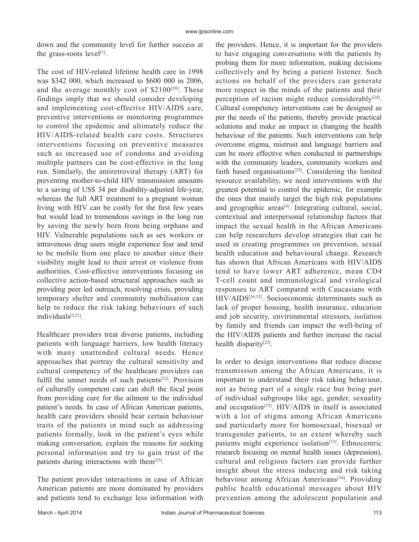down and the community level for further success at the grass-roots level<sup>[1]</sup>.

The cost of HIV-related lifetime health care in 1998 was \$342 000, which increased to \$600 000 in 2006, and the average monthly cost of  $$2100^{[20]}$ . These findings imply that we should consider developing and implementing cost-effective HIV/AIDS care, preventive interventions or monitoring programmes to control the epidemic and ultimately reduce the HIV/AIDS-related health care costs. Structures interventions focusing on preventive measures such as increased use of condoms and avoiding multiple partners can be cost-effective in the long run. Similarly, the antiretroviral therapy (ART) for preventing mother-to-child HIV transmission amounts to a saving of US\$ 34 per disability-adjusted life-year, whereas the full ART treatment to a pregnant woman living with HIV can be costly for the first few years but would lead to tremendous savings in the long run by saving the newly born from being orphans and HIV. Vulnerable populations such as sex workers or intravenous drug users might experience fear and tend to be mobile from one place to another since their visibility might lead to their arrest or violence from authorities. Cost-effective interventions focusing on collective action-based structural approaches such as providing peer led outreach, resolving crisis, providing temporary shelter and community mobilisation can help to reduce the risk taking behaviours of such individuals[2,21].

Healthcare providers treat diverse patients, including patients with language barriers, low health literacy with many unattended cultural needs. Hence approaches that portray the cultural sensitivity and cultural competency of the healthcare providers can fulfil the unmet needs of such patients<sup>[22]</sup>. Provision of culturally competent care can shift the focal point from providing cure for the ailment to the individual patient's needs. In case of African American patients, health care providers should bear certain behaviour traits of the patients in mind such as addressing patients formally, look in the patient's eyes while making conversation, explain the reasons for seeking personal information and try to gain trust of the patients during interactions with them<sup>[23]</sup>.

The patient provider interactions in case of African American patients are more dominated by providers and patients tend to exchange less information with the providers. Hence, it is important for the providers to have engaging conversations with the patients by probing them for more information, making decisions collectively and by being a patient listener. Such actions on behalf of the providers can generate more respect in the minds of the patients and their perception of racism might reduce considerably $[24]$ . Cultural competency interventions can be designed as per the needs of the patients, thereby provide practical solutions and make an impact in changing the health behaviour of the patients. Such interventions can help overcome stigma, mistrust and language barriers and can be more effective when conducted in partnerships with the community leaders, community workers and faith based organisations<sup>[25]</sup>. Considering the limited resource availability, we need interventions with the greatest potential to control the epidemic, for example the ones that mainly target the high risk populations and geographic areas $[4]$ . Integrating cultural, social, contextual and interpersonal relationship factors that impact the sexual health in the African Americans can help researchers develop strategies that can be used in creating programmes on prevention, sexual health education and behavioural change. Research has shown that African Americans with HIV/AIDS tend to have lower ART adherence, mean CD4 T-cell count and immunological and virological responses to ART compared with Caucasians with HIV/AIDS[26-32]. Socioeconomic determinants such as lack of proper housing, health insurance, education and job security, environmental stressors, isolation by family and friends can impact the well-being of the HIV/AIDS patients and further increase the racial health disparity<sup>[22]</sup>.

In order to design interventions that reduce disease transmission among the African Americans, it is important to understand their risk taking behaviour, not as being part of a single race but being part of individual subgroups like age, gender, sexuality and occupation[33]. HIV/AIDS in itself is associated with a lot of stigma among African Americans and particularly more for homosexual, bisexual or transgender patients, to an extent whereby such patients might experience isolation<sup>[33]</sup>. Ethnocentric research focusing on mental health issues (depression), cultural and religious factors can provide further insight about the stress inducing and risk taking behaviour among African Americans<sup>[34]</sup>. Providing public health educational messages about HIV prevention among the adolescent population and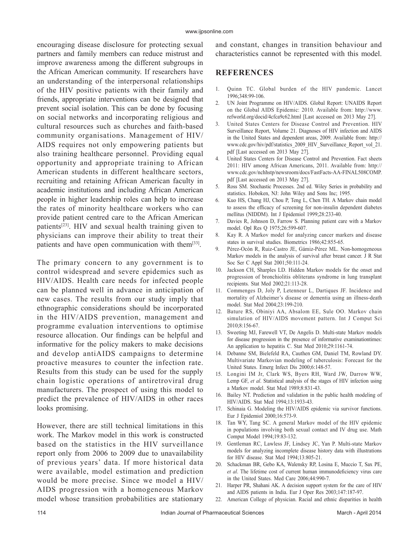encouraging disease disclosure for protecting sexual partners and family members can reduce mistrust and improve awareness among the different subgroups in the African American community. If researchers have an understanding of the interpersonal relationships of the HIV positive patients with their family and friends, appropriate interventions can be designed that prevent social isolation. This can be done by focusing on social networks and incorporating religious and cultural resources such as churches and faith-based community organisations. Management of HIV/ AIDS requires not only empowering patients but also training healthcare personnel. Providing equal opportunity and appropriate training to African American students in different healthcare sectors, recruiting and retaining African American faculty in academic institutions and including African American people in higher leadership roles can help to increase the rates of minority healthcare workers who can provide patient centred care to the African American patients[23]. HIV and sexual health training given to physicians can improve their ability to treat their patients and have open communication with them<sup>[33]</sup>.

The primary concern to any government is to control widespread and severe epidemics such as HIV/AIDS. Health care needs for infected people can be planned well in advance in anticipation of new cases. The results from our study imply that ethnographic considerations should be incorporated in the HIV/AIDS prevention, management and programme evaluation interventions to optimise resource allocation. Our findings can be helpful and informative for the policy makers to make decisions and develop antiAIDS campaigns to determine proactive measures to counter the infection rate. Results from this study can be used for the supply chain logistic operations of antiretroviral drug manufacturers. The prospect of using this model to predict the prevalence of HIV/AIDS in other races looks promising.

However, there are still technical limitations in this work. The Markov model in this work is constructed based on the statistics in the HIV surveillance report only from 2006 to 2009 due to unavailability of previous years' data. If more historical data were available, model estimation and prediction would be more precise. Since we model a HIV/ AIDS progression with a homogeneous Markov model whose transition probabilities are stationary

and constant, changes in transition behaviour and characteristics cannot be represented with this model.

## **REFERENCES**

- 1. Quinn TC. Global burden of the HIV pandemic. Lancet 1996;348:99-106.
- 2. UN Joint Programme on HIV/AIDS. Global Report: UNAIDS Report on the Global AIDS Epidemic: 2010. Available from: http://www. refworld.org/docid/4cfca9c62.html [Last accessed on 2013 May 27].
- 3. United States Centers for Disease Control and Prevention. HIV Surveillance Report, Volume 21. Diagnoses of HIV infection and AIDS in the United States and dependent areas, 2009. Available from: http:// www.cdc.gov/hiv/pdf/statistics\_2009\_HIV\_Surveillance\_Report\_vol\_21. pdf [Last accessed on 2013 May 27].
- 4. United States Centers for Disease Control and Prevention. Fact sheets 2011: HIV among African Americans, 2011. Available from: http:// www.cdc.gov/nchhstp/newsroom/docs/FastFacts-AA-FINAL508COMP. pdf [Last accessed on 2013 May 27].
- 5. Ross SM. Stochastic Processes. 2nd ed. Wiley Series in probability and statistics. Hoboken, NJ: John Wiley and Sons Inc; 1995.
- 6. Kuo HS, Chang HJ, Chou P, Teng L, Chen TH. A Markov chain model to assess the efficacy of screening for non‑insulin dependent diabetes mellitus (NIDDM). Int J Epidemiol 1999;28:233-40.
- 7. Davies R, Johnson D, Farrow S. Planning patient care with a Markov model. Opl Res Q 1975;26:599-607.
- 8. Kay R. A Markov model for analyzing cancer markers and disease states in survival studies. Biometrics 1986;42:855-65.
- 9. Pérez-Ocón R, Ruiz-Castro JE, Gámiz-Pérez ML. Non-homogeneous Markov models in the analysis of survival after breast cancer. J R Stat Soc Ser C Appl Stat 2001;50:111-24.
- 10. Jackson CH, Sharples LD. Hidden Markov models for the onset and progression of bronchiolitis obliterans syndrome in lung transplant recipients. Stat Med 2002;21:113-28.
- 11. Commenges D, Joly P, Letenneur L, Dartiques JF. Incidence and mortality of Alzheimer's disease or dementia using an illness-death model. Stat Med 2004;23:199-210.
- 12. Bature RS, Obiniyi AA, Absalom EE, Sule OO. Markov chain simulation of HIV/AIDS movement pattern. Int J Comput Sci 2010;8:156-67.
- 13. Sweeting MJ, Farewell VT, De Angelis D. Multi-state Markov models for disease progression in the presence of informative examinationtimes: An application to hepatitis C. Stat Med 2010;29:1161-74.
- 14. Debanne SM, Bielefeld RA, Cauthen GM, Daniel TM, Rowland DY. Multivariate Markovian modeling of tuberculosis: Forecast for the United States. Emerg Infect Dis 2000;6:148-57.
- 15. Longini IM Jr, Clark WS, Byers RH, Ward JW, Darrow WW, Lemp GF, *et al*. Statistical analysis of the stages of HIV infection using a Markov model. Stat Med 1989;8:831-43.
- 16. Bailey NT. Prediction and validation in the public health modeling of HIV/AIDS. Stat Med 1994;13:1933-43.
- 17. Schinaia G. Modeling the HIV/AIDS epidemic via survivor functions. Eur J Epidemiol 2000;16:573-9.
- 18. Tan WY, Tang SC. A general Markov model of the HIV epidemic in populations involving both sexual contact and IV drug use. Math Comput Model 1994;19:83-132.
- 19. Gentleman RC, Lawless JF, Lindsey JC, Yan P. Multi-state Markov models for analyzing incomplete disease history data with illustrations for HIV disease. Stat Med 1994;13:805-21.
- 20. Schackman BR, Gebo KA, Walensky RP, Losina E, Muccio T, Sax PE, *et al*. The lifetime cost of current human immunodeficiency virus care in the United States. Med Care 2006;44:990-7.
- 21. Harper PR, Shahani AK. A decision support system for the care of HIV and AIDS patients in India. Eur J Oper Res 2003;147:187-97.
- 22. American College of physician. Racial and ethnic disparities in health